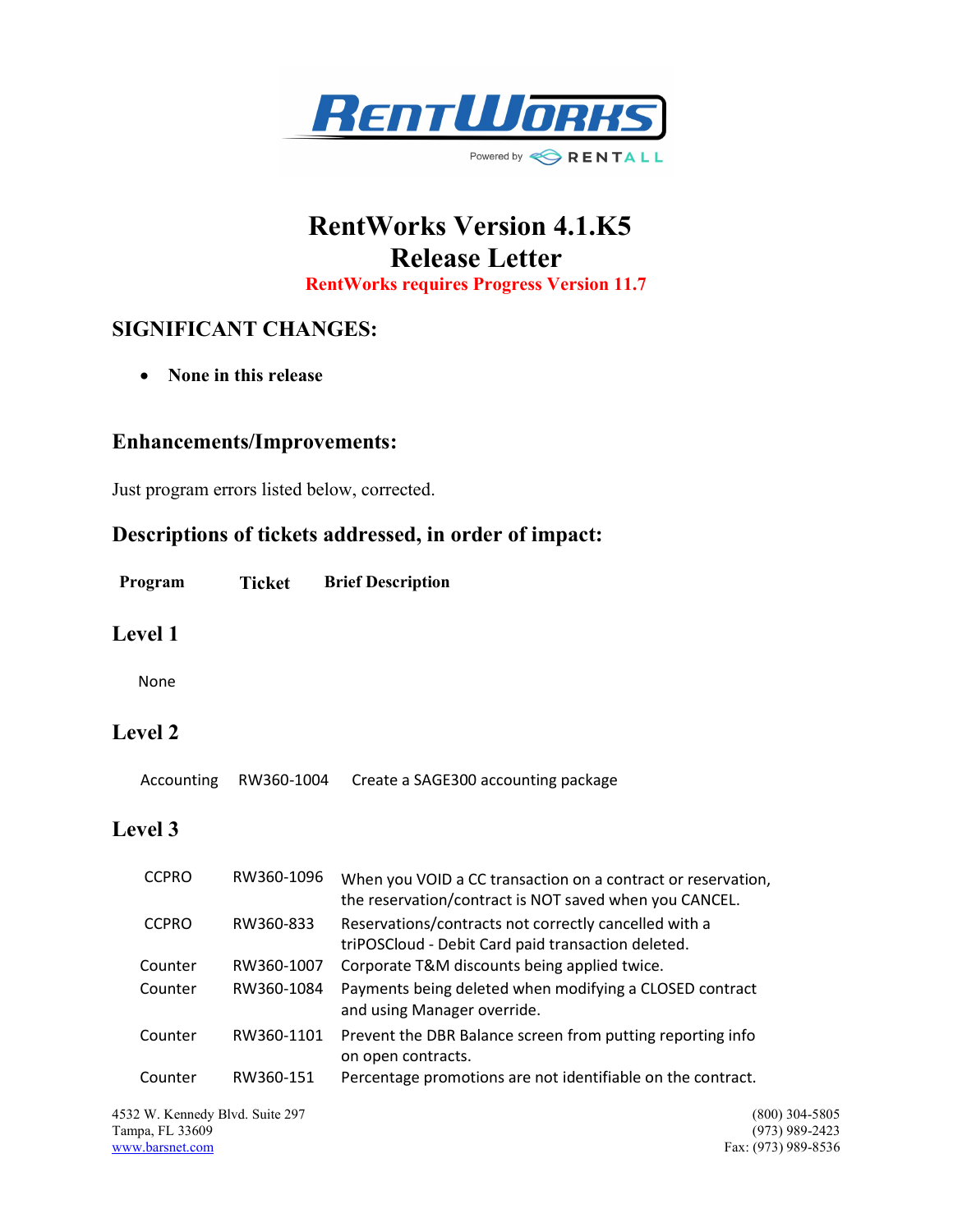

# RentWorks Version 4.1.K5 Release Letter

RentWorks requires Progress Version 11.7

# SIGNIFICANT CHANGES:

• None in this release

#### Enhancements/Improvements:

Just program errors listed below, corrected.

## Descriptions of tickets addressed, in order of impact:

| Program | Ticket | <b>Brief Description</b> |
|---------|--------|--------------------------|
|---------|--------|--------------------------|

#### Level 1

None

## Level 2

|  | Accounting RW360-1004 | Create a SAGE300 accounting package |
|--|-----------------------|-------------------------------------|
|--|-----------------------|-------------------------------------|

### Level 3

| <b>CCPRO</b> | RW360-1096 | When you VOID a CC transaction on a contract or reservation,<br>the reservation/contract is NOT saved when you CANCEL. |
|--------------|------------|------------------------------------------------------------------------------------------------------------------------|
| <b>CCPRO</b> | RW360-833  | Reservations/contracts not correctly cancelled with a<br>triPOSCloud - Debit Card paid transaction deleted.            |
| Counter      | RW360-1007 | Corporate T&M discounts being applied twice.                                                                           |
| Counter      | RW360-1084 | Payments being deleted when modifying a CLOSED contract<br>and using Manager override.                                 |
| Counter      | RW360-1101 | Prevent the DBR Balance screen from putting reporting info<br>on open contracts.                                       |
| Counter      | RW360-151  | Percentage promotions are not identifiable on the contract.                                                            |

4532 W. Kennedy Blvd. Suite 297 (800) 304-5805<br>
Tampa, FL 33609 (973) 989-2423 Tampa, FL 33609<br>www.barsnet.com